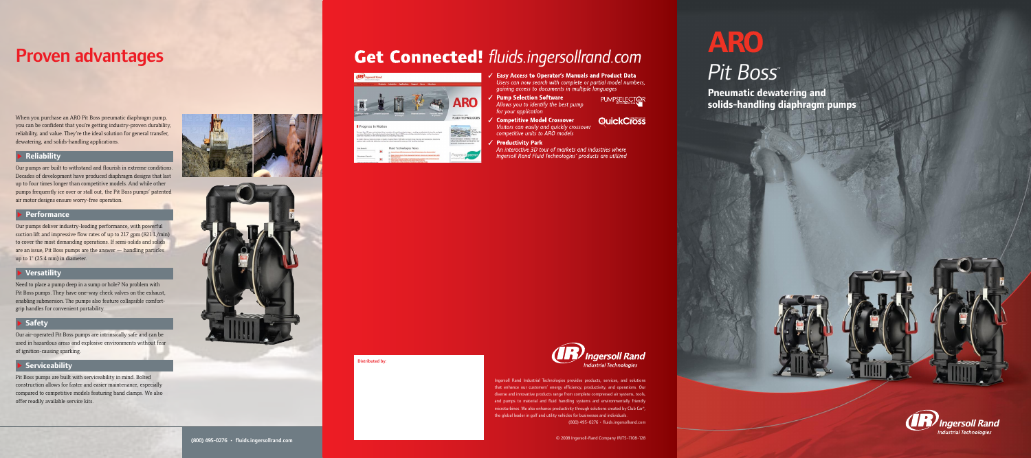# *Pit Boss™*

**Pneumatic dewatering and solids-handling diaphragm pumps**



# Proven advantages

When you purchase an ARO Pit Boss pneumatic diaphragm pump, you can be confident that you're getting industry-proven durability, reliability, and value. They're the ideal solution for general transfer, dewatering, and solids-handling applications.

## **Reliability**

Our pumps are built to withstand and flourish in extreme conditions. Decades of development have produced diaphragm designs that last up to four times longer than competitive models. And while other pumps frequently ice over or stall out, the Pit Boss pumps' patented air motor designs ensure worry-free operation.

## **Performance**

Our pumps deliver industry-leading performance, with powerful suction lift and impressive flow rates of up to 217 gpm (821 L/min) to cover the most demanding operations. If semi-solids and solids are an issue, Pit Boss pumps are the answer — handling particles up to 1" (25.4 mm) in diameter.

## **Versatility**

Need to place a pump deep in a sump or hole? No problem with Pit Boss pumps. They have one-way check valves on the exhaust, enabling submersion. The pumps also feature collapsible comfortgrip handles for convenient portability.

## **Safety**

Our air-operated Pit Boss pumps are intrinsically safe and can be used in hazardous areas and explosive environments without fear of ignition-causing sparking.

## **B** Serviceability

Pit Boss pumps are built with serviceability in mind. Bolted construction allows for faster and easier maintenance, especially compared to competitive models featuring band clamps. We also offer readily available service kits.





# **Get Connected! fluids.ingersollrand.com**



competitive units to ARO models

**Productivity Park** 

Distributed by:

**Easy Access to Operator's Manuals and Product Data** 

Users can now search with complete or partial model numbers, gaining access to documents in multiple languages

## Pump Selection Software

Allows you to identify the best pump for your application



**Competitive Model Crossover** Visitors can easily and quickly crossover

## **QuickCross**

An interactive 3D tour of markets and industries where Ingersoll Rand Fluid Technologies' products are utilized



Ingersoll Rand Industrial Technologies provides products, services, and solutions that enhance our customers' energy efficiency, productivity, and operations. Our diverse and innovative products range from complete compressed air systems, tools, and pumps to material and fluid handling systems and environmentally friendly microturbines. We also enhance productivity through solutions created by Club Car®, the global leader in golf and utility vehicles for businesses and individuals. (800) 495-0276 • fluids.ingersollrand.com